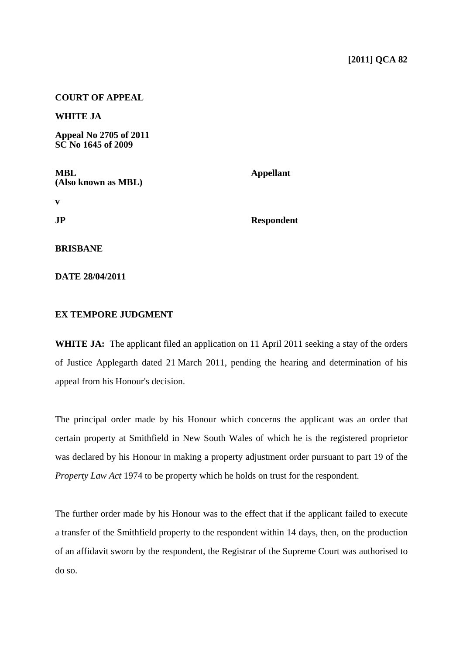## **COURT OF APPEAL**

**WHITE JA** 

**Appeal No 2705 of 2011 SC No 1645 of 2009** 

| MBL<br>(Also known as MBL) | <b>Appellant</b>  |
|----------------------------|-------------------|
|                            |                   |
| $\mathbf{J}\mathbf{P}$     | <b>Respondent</b> |
|                            |                   |
| BRISBANE                   |                   |
|                            |                   |

**DATE 28/04/2011** 

## **EX TEMPORE JUDGMENT**

**WHITE JA:** The applicant filed an application on 11 April 2011 seeking a stay of the orders of Justice Applegarth dated 21 March 2011, pending the hearing and determination of his appeal from his Honour's decision.

The principal order made by his Honour which concerns the applicant was an order that certain property at Smithfield in New South Wales of which he is the registered proprietor was declared by his Honour in making a property adjustment order pursuant to part 19 of the *Property Law Act* 1974 to be property which he holds on trust for the respondent.

The further order made by his Honour was to the effect that if the applicant failed to execute a transfer of the Smithfield property to the respondent within 14 days, then, on the production of an affidavit sworn by the respondent, the Registrar of the Supreme Court was authorised to do so.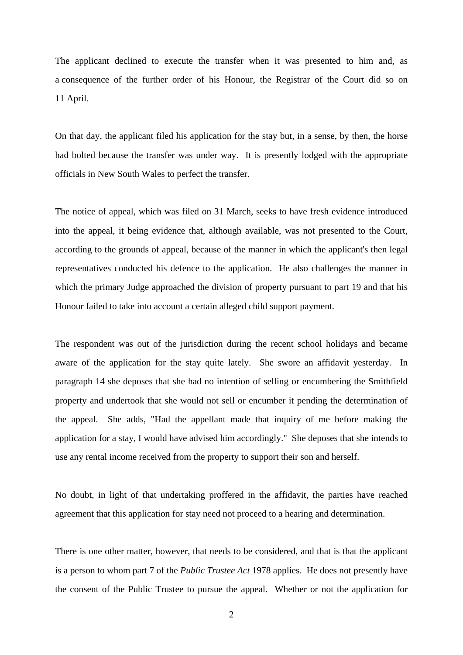The applicant declined to execute the transfer when it was presented to him and, as a consequence of the further order of his Honour, the Registrar of the Court did so on 11 April.

On that day, the applicant filed his application for the stay but, in a sense, by then, the horse had bolted because the transfer was under way. It is presently lodged with the appropriate officials in New South Wales to perfect the transfer.

The notice of appeal, which was filed on 31 March, seeks to have fresh evidence introduced into the appeal, it being evidence that, although available, was not presented to the Court, according to the grounds of appeal, because of the manner in which the applicant's then legal representatives conducted his defence to the application. He also challenges the manner in which the primary Judge approached the division of property pursuant to part 19 and that his Honour failed to take into account a certain alleged child support payment.

The respondent was out of the jurisdiction during the recent school holidays and became aware of the application for the stay quite lately. She swore an affidavit yesterday. In paragraph 14 she deposes that she had no intention of selling or encumbering the Smithfield property and undertook that she would not sell or encumber it pending the determination of the appeal. She adds, "Had the appellant made that inquiry of me before making the application for a stay, I would have advised him accordingly." She deposes that she intends to use any rental income received from the property to support their son and herself.

No doubt, in light of that undertaking proffered in the affidavit, the parties have reached agreement that this application for stay need not proceed to a hearing and determination.

There is one other matter, however, that needs to be considered, and that is that the applicant is a person to whom part 7 of the *Public Trustee Act* 1978 applies. He does not presently have the consent of the Public Trustee to pursue the appeal. Whether or not the application for